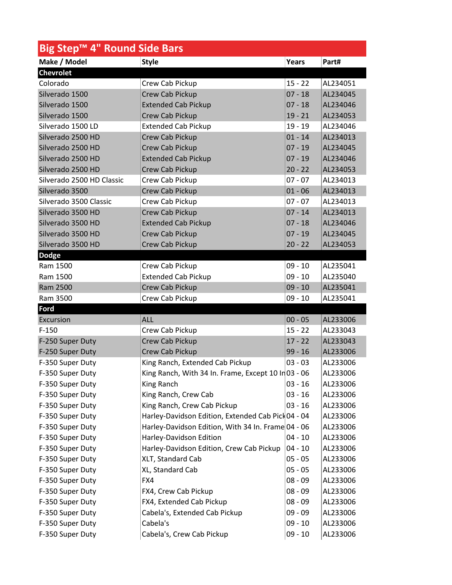| Make / Model<br>Part#<br><b>Style</b><br>Years<br><b>Chevrolet</b><br>Colorado<br>$15 - 22$<br>Crew Cab Pickup<br>Silverado 1500<br><b>Crew Cab Pickup</b><br>$07 - 18$<br>Silverado 1500<br><b>Extended Cab Pickup</b><br>$07 - 18$<br>$19 - 21$<br>Silverado 1500<br>Crew Cab Pickup<br>Silverado 1500 LD<br><b>Extended Cab Pickup</b><br>$19 - 19$<br>Silverado 2500 HD<br>$01 - 14$<br>Crew Cab Pickup<br>Silverado 2500 HD<br>$07 - 19$<br>Crew Cab Pickup<br>Silverado 2500 HD<br><b>Extended Cab Pickup</b><br>$07 - 19$<br>Silverado 2500 HD<br>Crew Cab Pickup<br>$20 - 22$<br>Silverado 2500 HD Classic<br>Crew Cab Pickup<br>$07 - 07$<br>Silverado 3500<br>Crew Cab Pickup<br>$01 - 06$<br>Silverado 3500 Classic<br>Crew Cab Pickup<br>$07 - 07$<br>Silverado 3500 HD<br>$07 - 14$<br>Crew Cab Pickup<br>Silverado 3500 HD<br><b>Extended Cab Pickup</b><br>$07 - 18$<br>Silverado 3500 HD<br>Crew Cab Pickup<br>$07 - 19$<br>Silverado 3500 HD<br><b>Crew Cab Pickup</b><br>$20 - 22$<br><b>Dodge</b><br>Ram 1500<br>Crew Cab Pickup<br>$09 - 10$<br><b>Extended Cab Pickup</b><br>$09 - 10$<br>Ram 1500<br>Ram 2500<br>Crew Cab Pickup<br>$09 - 10$<br>Ram 3500<br>Crew Cab Pickup<br>$09 - 10$<br>Ford<br>$00 - 05$<br>Excursion<br><b>ALL</b><br>$F-150$<br>$15 - 22$<br>Crew Cab Pickup<br>F-250 Super Duty<br>Crew Cab Pickup<br>$17 - 22$<br>Crew Cab Pickup<br>$99 - 16$<br>F-250 Super Duty<br>F-350 Super Duty<br>King Ranch, Extended Cab Pickup<br>$03 - 03$<br>King Ranch, With 34 In. Frame, Except 10 Ir 03 - 06<br>F-350 Super Duty<br>F-350 Super Duty<br>King Ranch<br>$03 - 16$<br>King Ranch, Crew Cab<br>$03 - 16$<br>F-350 Super Duty<br>King Ranch, Crew Cab Pickup<br>$03 - 16$<br>F-350 Super Duty<br>F-350 Super Duty<br>Harley-Davidson Edition, Extended Cab Pick 04 - 04<br>Harley-Davidson Edition, With 34 In. Frame 04 - 06<br>F-350 Super Duty<br>Harley-Davidson Edition<br>F-350 Super Duty<br>$04 - 10$<br>Harley-Davidson Edition, Crew Cab Pickup<br>F-350 Super Duty<br>$04 - 10$<br>F-350 Super Duty<br>XLT, Standard Cab<br>$05 - 05$<br>XL, Standard Cab<br>$05 - 05$<br>F-350 Super Duty<br>$08 - 09$<br>F-350 Super Duty<br>FX4<br>$08 - 09$<br>F-350 Super Duty<br>FX4, Crew Cab Pickup | Big Step™ 4" Round Side Bars |  |  |          |  |  |  |
|----------------------------------------------------------------------------------------------------------------------------------------------------------------------------------------------------------------------------------------------------------------------------------------------------------------------------------------------------------------------------------------------------------------------------------------------------------------------------------------------------------------------------------------------------------------------------------------------------------------------------------------------------------------------------------------------------------------------------------------------------------------------------------------------------------------------------------------------------------------------------------------------------------------------------------------------------------------------------------------------------------------------------------------------------------------------------------------------------------------------------------------------------------------------------------------------------------------------------------------------------------------------------------------------------------------------------------------------------------------------------------------------------------------------------------------------------------------------------------------------------------------------------------------------------------------------------------------------------------------------------------------------------------------------------------------------------------------------------------------------------------------------------------------------------------------------------------------------------------------------------------------------------------------------------------------------------------------------------------------------------------------------------------------------------------------------------------------------------------------------------------------------------------------------------------------------------------------------------------------------------|------------------------------|--|--|----------|--|--|--|
|                                                                                                                                                                                                                                                                                                                                                                                                                                                                                                                                                                                                                                                                                                                                                                                                                                                                                                                                                                                                                                                                                                                                                                                                                                                                                                                                                                                                                                                                                                                                                                                                                                                                                                                                                                                                                                                                                                                                                                                                                                                                                                                                                                                                                                                    |                              |  |  |          |  |  |  |
|                                                                                                                                                                                                                                                                                                                                                                                                                                                                                                                                                                                                                                                                                                                                                                                                                                                                                                                                                                                                                                                                                                                                                                                                                                                                                                                                                                                                                                                                                                                                                                                                                                                                                                                                                                                                                                                                                                                                                                                                                                                                                                                                                                                                                                                    |                              |  |  |          |  |  |  |
|                                                                                                                                                                                                                                                                                                                                                                                                                                                                                                                                                                                                                                                                                                                                                                                                                                                                                                                                                                                                                                                                                                                                                                                                                                                                                                                                                                                                                                                                                                                                                                                                                                                                                                                                                                                                                                                                                                                                                                                                                                                                                                                                                                                                                                                    |                              |  |  | AL234051 |  |  |  |
|                                                                                                                                                                                                                                                                                                                                                                                                                                                                                                                                                                                                                                                                                                                                                                                                                                                                                                                                                                                                                                                                                                                                                                                                                                                                                                                                                                                                                                                                                                                                                                                                                                                                                                                                                                                                                                                                                                                                                                                                                                                                                                                                                                                                                                                    |                              |  |  | AL234045 |  |  |  |
|                                                                                                                                                                                                                                                                                                                                                                                                                                                                                                                                                                                                                                                                                                                                                                                                                                                                                                                                                                                                                                                                                                                                                                                                                                                                                                                                                                                                                                                                                                                                                                                                                                                                                                                                                                                                                                                                                                                                                                                                                                                                                                                                                                                                                                                    |                              |  |  | AL234046 |  |  |  |
|                                                                                                                                                                                                                                                                                                                                                                                                                                                                                                                                                                                                                                                                                                                                                                                                                                                                                                                                                                                                                                                                                                                                                                                                                                                                                                                                                                                                                                                                                                                                                                                                                                                                                                                                                                                                                                                                                                                                                                                                                                                                                                                                                                                                                                                    |                              |  |  | AL234053 |  |  |  |
|                                                                                                                                                                                                                                                                                                                                                                                                                                                                                                                                                                                                                                                                                                                                                                                                                                                                                                                                                                                                                                                                                                                                                                                                                                                                                                                                                                                                                                                                                                                                                                                                                                                                                                                                                                                                                                                                                                                                                                                                                                                                                                                                                                                                                                                    |                              |  |  | AL234046 |  |  |  |
|                                                                                                                                                                                                                                                                                                                                                                                                                                                                                                                                                                                                                                                                                                                                                                                                                                                                                                                                                                                                                                                                                                                                                                                                                                                                                                                                                                                                                                                                                                                                                                                                                                                                                                                                                                                                                                                                                                                                                                                                                                                                                                                                                                                                                                                    |                              |  |  | AL234013 |  |  |  |
|                                                                                                                                                                                                                                                                                                                                                                                                                                                                                                                                                                                                                                                                                                                                                                                                                                                                                                                                                                                                                                                                                                                                                                                                                                                                                                                                                                                                                                                                                                                                                                                                                                                                                                                                                                                                                                                                                                                                                                                                                                                                                                                                                                                                                                                    |                              |  |  | AL234045 |  |  |  |
|                                                                                                                                                                                                                                                                                                                                                                                                                                                                                                                                                                                                                                                                                                                                                                                                                                                                                                                                                                                                                                                                                                                                                                                                                                                                                                                                                                                                                                                                                                                                                                                                                                                                                                                                                                                                                                                                                                                                                                                                                                                                                                                                                                                                                                                    |                              |  |  | AL234046 |  |  |  |
|                                                                                                                                                                                                                                                                                                                                                                                                                                                                                                                                                                                                                                                                                                                                                                                                                                                                                                                                                                                                                                                                                                                                                                                                                                                                                                                                                                                                                                                                                                                                                                                                                                                                                                                                                                                                                                                                                                                                                                                                                                                                                                                                                                                                                                                    |                              |  |  | AL234053 |  |  |  |
|                                                                                                                                                                                                                                                                                                                                                                                                                                                                                                                                                                                                                                                                                                                                                                                                                                                                                                                                                                                                                                                                                                                                                                                                                                                                                                                                                                                                                                                                                                                                                                                                                                                                                                                                                                                                                                                                                                                                                                                                                                                                                                                                                                                                                                                    |                              |  |  | AL234013 |  |  |  |
|                                                                                                                                                                                                                                                                                                                                                                                                                                                                                                                                                                                                                                                                                                                                                                                                                                                                                                                                                                                                                                                                                                                                                                                                                                                                                                                                                                                                                                                                                                                                                                                                                                                                                                                                                                                                                                                                                                                                                                                                                                                                                                                                                                                                                                                    |                              |  |  | AL234013 |  |  |  |
|                                                                                                                                                                                                                                                                                                                                                                                                                                                                                                                                                                                                                                                                                                                                                                                                                                                                                                                                                                                                                                                                                                                                                                                                                                                                                                                                                                                                                                                                                                                                                                                                                                                                                                                                                                                                                                                                                                                                                                                                                                                                                                                                                                                                                                                    |                              |  |  | AL234013 |  |  |  |
|                                                                                                                                                                                                                                                                                                                                                                                                                                                                                                                                                                                                                                                                                                                                                                                                                                                                                                                                                                                                                                                                                                                                                                                                                                                                                                                                                                                                                                                                                                                                                                                                                                                                                                                                                                                                                                                                                                                                                                                                                                                                                                                                                                                                                                                    |                              |  |  | AL234013 |  |  |  |
|                                                                                                                                                                                                                                                                                                                                                                                                                                                                                                                                                                                                                                                                                                                                                                                                                                                                                                                                                                                                                                                                                                                                                                                                                                                                                                                                                                                                                                                                                                                                                                                                                                                                                                                                                                                                                                                                                                                                                                                                                                                                                                                                                                                                                                                    |                              |  |  | AL234046 |  |  |  |
|                                                                                                                                                                                                                                                                                                                                                                                                                                                                                                                                                                                                                                                                                                                                                                                                                                                                                                                                                                                                                                                                                                                                                                                                                                                                                                                                                                                                                                                                                                                                                                                                                                                                                                                                                                                                                                                                                                                                                                                                                                                                                                                                                                                                                                                    |                              |  |  | AL234045 |  |  |  |
|                                                                                                                                                                                                                                                                                                                                                                                                                                                                                                                                                                                                                                                                                                                                                                                                                                                                                                                                                                                                                                                                                                                                                                                                                                                                                                                                                                                                                                                                                                                                                                                                                                                                                                                                                                                                                                                                                                                                                                                                                                                                                                                                                                                                                                                    |                              |  |  | AL234053 |  |  |  |
|                                                                                                                                                                                                                                                                                                                                                                                                                                                                                                                                                                                                                                                                                                                                                                                                                                                                                                                                                                                                                                                                                                                                                                                                                                                                                                                                                                                                                                                                                                                                                                                                                                                                                                                                                                                                                                                                                                                                                                                                                                                                                                                                                                                                                                                    |                              |  |  |          |  |  |  |
|                                                                                                                                                                                                                                                                                                                                                                                                                                                                                                                                                                                                                                                                                                                                                                                                                                                                                                                                                                                                                                                                                                                                                                                                                                                                                                                                                                                                                                                                                                                                                                                                                                                                                                                                                                                                                                                                                                                                                                                                                                                                                                                                                                                                                                                    |                              |  |  | AL235041 |  |  |  |
|                                                                                                                                                                                                                                                                                                                                                                                                                                                                                                                                                                                                                                                                                                                                                                                                                                                                                                                                                                                                                                                                                                                                                                                                                                                                                                                                                                                                                                                                                                                                                                                                                                                                                                                                                                                                                                                                                                                                                                                                                                                                                                                                                                                                                                                    |                              |  |  | AL235040 |  |  |  |
|                                                                                                                                                                                                                                                                                                                                                                                                                                                                                                                                                                                                                                                                                                                                                                                                                                                                                                                                                                                                                                                                                                                                                                                                                                                                                                                                                                                                                                                                                                                                                                                                                                                                                                                                                                                                                                                                                                                                                                                                                                                                                                                                                                                                                                                    |                              |  |  | AL235041 |  |  |  |
|                                                                                                                                                                                                                                                                                                                                                                                                                                                                                                                                                                                                                                                                                                                                                                                                                                                                                                                                                                                                                                                                                                                                                                                                                                                                                                                                                                                                                                                                                                                                                                                                                                                                                                                                                                                                                                                                                                                                                                                                                                                                                                                                                                                                                                                    |                              |  |  | AL235041 |  |  |  |
|                                                                                                                                                                                                                                                                                                                                                                                                                                                                                                                                                                                                                                                                                                                                                                                                                                                                                                                                                                                                                                                                                                                                                                                                                                                                                                                                                                                                                                                                                                                                                                                                                                                                                                                                                                                                                                                                                                                                                                                                                                                                                                                                                                                                                                                    |                              |  |  |          |  |  |  |
|                                                                                                                                                                                                                                                                                                                                                                                                                                                                                                                                                                                                                                                                                                                                                                                                                                                                                                                                                                                                                                                                                                                                                                                                                                                                                                                                                                                                                                                                                                                                                                                                                                                                                                                                                                                                                                                                                                                                                                                                                                                                                                                                                                                                                                                    |                              |  |  | AL233006 |  |  |  |
|                                                                                                                                                                                                                                                                                                                                                                                                                                                                                                                                                                                                                                                                                                                                                                                                                                                                                                                                                                                                                                                                                                                                                                                                                                                                                                                                                                                                                                                                                                                                                                                                                                                                                                                                                                                                                                                                                                                                                                                                                                                                                                                                                                                                                                                    |                              |  |  | AL233043 |  |  |  |
|                                                                                                                                                                                                                                                                                                                                                                                                                                                                                                                                                                                                                                                                                                                                                                                                                                                                                                                                                                                                                                                                                                                                                                                                                                                                                                                                                                                                                                                                                                                                                                                                                                                                                                                                                                                                                                                                                                                                                                                                                                                                                                                                                                                                                                                    |                              |  |  | AL233043 |  |  |  |
|                                                                                                                                                                                                                                                                                                                                                                                                                                                                                                                                                                                                                                                                                                                                                                                                                                                                                                                                                                                                                                                                                                                                                                                                                                                                                                                                                                                                                                                                                                                                                                                                                                                                                                                                                                                                                                                                                                                                                                                                                                                                                                                                                                                                                                                    |                              |  |  | AL233006 |  |  |  |
|                                                                                                                                                                                                                                                                                                                                                                                                                                                                                                                                                                                                                                                                                                                                                                                                                                                                                                                                                                                                                                                                                                                                                                                                                                                                                                                                                                                                                                                                                                                                                                                                                                                                                                                                                                                                                                                                                                                                                                                                                                                                                                                                                                                                                                                    |                              |  |  | AL233006 |  |  |  |
|                                                                                                                                                                                                                                                                                                                                                                                                                                                                                                                                                                                                                                                                                                                                                                                                                                                                                                                                                                                                                                                                                                                                                                                                                                                                                                                                                                                                                                                                                                                                                                                                                                                                                                                                                                                                                                                                                                                                                                                                                                                                                                                                                                                                                                                    |                              |  |  | AL233006 |  |  |  |
|                                                                                                                                                                                                                                                                                                                                                                                                                                                                                                                                                                                                                                                                                                                                                                                                                                                                                                                                                                                                                                                                                                                                                                                                                                                                                                                                                                                                                                                                                                                                                                                                                                                                                                                                                                                                                                                                                                                                                                                                                                                                                                                                                                                                                                                    |                              |  |  | AL233006 |  |  |  |
|                                                                                                                                                                                                                                                                                                                                                                                                                                                                                                                                                                                                                                                                                                                                                                                                                                                                                                                                                                                                                                                                                                                                                                                                                                                                                                                                                                                                                                                                                                                                                                                                                                                                                                                                                                                                                                                                                                                                                                                                                                                                                                                                                                                                                                                    |                              |  |  | AL233006 |  |  |  |
|                                                                                                                                                                                                                                                                                                                                                                                                                                                                                                                                                                                                                                                                                                                                                                                                                                                                                                                                                                                                                                                                                                                                                                                                                                                                                                                                                                                                                                                                                                                                                                                                                                                                                                                                                                                                                                                                                                                                                                                                                                                                                                                                                                                                                                                    |                              |  |  | AL233006 |  |  |  |
|                                                                                                                                                                                                                                                                                                                                                                                                                                                                                                                                                                                                                                                                                                                                                                                                                                                                                                                                                                                                                                                                                                                                                                                                                                                                                                                                                                                                                                                                                                                                                                                                                                                                                                                                                                                                                                                                                                                                                                                                                                                                                                                                                                                                                                                    |                              |  |  | AL233006 |  |  |  |
|                                                                                                                                                                                                                                                                                                                                                                                                                                                                                                                                                                                                                                                                                                                                                                                                                                                                                                                                                                                                                                                                                                                                                                                                                                                                                                                                                                                                                                                                                                                                                                                                                                                                                                                                                                                                                                                                                                                                                                                                                                                                                                                                                                                                                                                    |                              |  |  | AL233006 |  |  |  |
|                                                                                                                                                                                                                                                                                                                                                                                                                                                                                                                                                                                                                                                                                                                                                                                                                                                                                                                                                                                                                                                                                                                                                                                                                                                                                                                                                                                                                                                                                                                                                                                                                                                                                                                                                                                                                                                                                                                                                                                                                                                                                                                                                                                                                                                    |                              |  |  | AL233006 |  |  |  |
|                                                                                                                                                                                                                                                                                                                                                                                                                                                                                                                                                                                                                                                                                                                                                                                                                                                                                                                                                                                                                                                                                                                                                                                                                                                                                                                                                                                                                                                                                                                                                                                                                                                                                                                                                                                                                                                                                                                                                                                                                                                                                                                                                                                                                                                    |                              |  |  | AL233006 |  |  |  |
|                                                                                                                                                                                                                                                                                                                                                                                                                                                                                                                                                                                                                                                                                                                                                                                                                                                                                                                                                                                                                                                                                                                                                                                                                                                                                                                                                                                                                                                                                                                                                                                                                                                                                                                                                                                                                                                                                                                                                                                                                                                                                                                                                                                                                                                    |                              |  |  | AL233006 |  |  |  |
|                                                                                                                                                                                                                                                                                                                                                                                                                                                                                                                                                                                                                                                                                                                                                                                                                                                                                                                                                                                                                                                                                                                                                                                                                                                                                                                                                                                                                                                                                                                                                                                                                                                                                                                                                                                                                                                                                                                                                                                                                                                                                                                                                                                                                                                    |                              |  |  | AL233006 |  |  |  |
|                                                                                                                                                                                                                                                                                                                                                                                                                                                                                                                                                                                                                                                                                                                                                                                                                                                                                                                                                                                                                                                                                                                                                                                                                                                                                                                                                                                                                                                                                                                                                                                                                                                                                                                                                                                                                                                                                                                                                                                                                                                                                                                                                                                                                                                    |                              |  |  | AL233006 |  |  |  |
|                                                                                                                                                                                                                                                                                                                                                                                                                                                                                                                                                                                                                                                                                                                                                                                                                                                                                                                                                                                                                                                                                                                                                                                                                                                                                                                                                                                                                                                                                                                                                                                                                                                                                                                                                                                                                                                                                                                                                                                                                                                                                                                                                                                                                                                    |                              |  |  | AL233006 |  |  |  |
| FX4, Extended Cab Pickup<br>$08 - 09$<br>F-350 Super Duty                                                                                                                                                                                                                                                                                                                                                                                                                                                                                                                                                                                                                                                                                                                                                                                                                                                                                                                                                                                                                                                                                                                                                                                                                                                                                                                                                                                                                                                                                                                                                                                                                                                                                                                                                                                                                                                                                                                                                                                                                                                                                                                                                                                          |                              |  |  | AL233006 |  |  |  |
| Cabela's, Extended Cab Pickup<br>$09 - 09$<br>F-350 Super Duty                                                                                                                                                                                                                                                                                                                                                                                                                                                                                                                                                                                                                                                                                                                                                                                                                                                                                                                                                                                                                                                                                                                                                                                                                                                                                                                                                                                                                                                                                                                                                                                                                                                                                                                                                                                                                                                                                                                                                                                                                                                                                                                                                                                     |                              |  |  | AL233006 |  |  |  |
| F-350 Super Duty<br>Cabela's<br>$09 - 10$                                                                                                                                                                                                                                                                                                                                                                                                                                                                                                                                                                                                                                                                                                                                                                                                                                                                                                                                                                                                                                                                                                                                                                                                                                                                                                                                                                                                                                                                                                                                                                                                                                                                                                                                                                                                                                                                                                                                                                                                                                                                                                                                                                                                          |                              |  |  | AL233006 |  |  |  |
| F-350 Super Duty<br>Cabela's, Crew Cab Pickup<br>$09 - 10$                                                                                                                                                                                                                                                                                                                                                                                                                                                                                                                                                                                                                                                                                                                                                                                                                                                                                                                                                                                                                                                                                                                                                                                                                                                                                                                                                                                                                                                                                                                                                                                                                                                                                                                                                                                                                                                                                                                                                                                                                                                                                                                                                                                         |                              |  |  | AL233006 |  |  |  |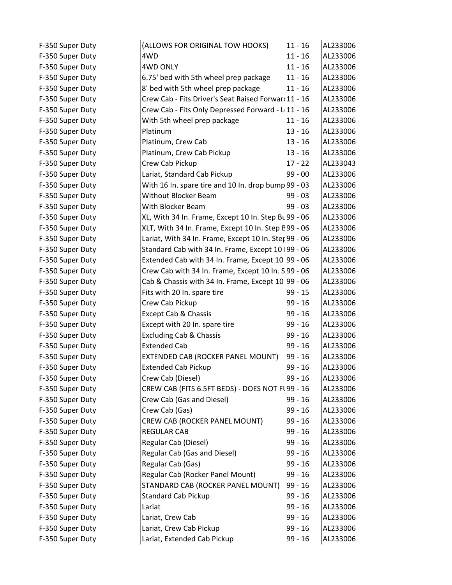| F-350 Super Duty | (ALLOWS FOR ORIGINAL TOW HOOKS)                             | $11 - 16$ | AL233006 |
|------------------|-------------------------------------------------------------|-----------|----------|
| F-350 Super Duty | 4WD                                                         | $11 - 16$ | AL233006 |
| F-350 Super Duty | <b>4WD ONLY</b>                                             | $11 - 16$ | AL233006 |
| F-350 Super Duty | 6.75' bed with 5th wheel prep package                       | $11 - 16$ | AL233006 |
| F-350 Super Duty | 8' bed with 5th wheel prep package                          | $11 - 16$ | AL233006 |
| F-350 Super Duty | Crew Cab - Fits Driver's Seat Raised Forwar 11 - 16         |           | AL233006 |
| F-350 Super Duty | Crew Cab - Fits Only Depressed Forward - L 11 - 16          |           | AL233006 |
| F-350 Super Duty | With 5th wheel prep package                                 | $11 - 16$ | AL233006 |
| F-350 Super Duty | Platinum                                                    | $13 - 16$ | AL233006 |
| F-350 Super Duty | Platinum, Crew Cab                                          | $13 - 16$ | AL233006 |
| F-350 Super Duty | Platinum, Crew Cab Pickup                                   | $13 - 16$ | AL233006 |
| F-350 Super Duty | Crew Cab Pickup                                             | $17 - 22$ | AL233043 |
| F-350 Super Duty | Lariat, Standard Cab Pickup                                 | $99 - 00$ | AL233006 |
| F-350 Super Duty | With 16 In. spare tire and 10 In. drop bump 99 - 03         |           | AL233006 |
| F-350 Super Duty | <b>Without Blocker Beam</b>                                 | $99 - 03$ | AL233006 |
| F-350 Super Duty | With Blocker Beam                                           | $99 - 03$ | AL233006 |
| F-350 Super Duty | XL, With 34 In. Frame, Except 10 In. Step $B\sqrt{99}$ - 06 |           | AL233006 |
| F-350 Super Duty | XLT, With 34 In. Frame, Except 10 In. Step E99 - 06         |           | AL233006 |
| F-350 Super Duty | Lariat, With 34 In. Frame, Except 10 In. Ster 99 - 06       |           | AL233006 |
| F-350 Super Duty | Standard Cab with 34 In. Frame, Except 10   99 - 06         |           | AL233006 |
| F-350 Super Duty | Extended Cab with 34 In. Frame, Except $10 99 - 06$         |           | AL233006 |
| F-350 Super Duty | Crew Cab with 34 In. Frame, Except 10 In. S 99 - 06         |           | AL233006 |
| F-350 Super Duty | Cab & Chassis with 34 In. Frame, Except 10 99 - 06          |           | AL233006 |
| F-350 Super Duty | Fits with 20 In. spare tire                                 | $99 - 15$ | AL233006 |
| F-350 Super Duty | Crew Cab Pickup                                             | 99 - 16   | AL233006 |
| F-350 Super Duty | Except Cab & Chassis                                        | $99 - 16$ | AL233006 |
| F-350 Super Duty | Except with 20 In. spare tire                               | $99 - 16$ | AL233006 |
| F-350 Super Duty | <b>Excluding Cab &amp; Chassis</b>                          | $99 - 16$ | AL233006 |
| F-350 Super Duty | <b>Extended Cab</b>                                         | $99 - 16$ | AL233006 |
| F-350 Super Duty | EXTENDED CAB (ROCKER PANEL MOUNT)                           | $99 - 16$ | AL233006 |
| F-350 Super Duty | <b>Extended Cab Pickup</b>                                  | $99 - 16$ | AL233006 |
| F-350 Super Duty | Crew Cab (Diesel)                                           | $99 - 16$ | AL233006 |
| F-350 Super Duty | CREW CAB (FITS 6.5FT BEDS) - DOES NOT F 99 - 16             |           | AL233006 |
| F-350 Super Duty | Crew Cab (Gas and Diesel)                                   | $99 - 16$ | AL233006 |
| F-350 Super Duty | Crew Cab (Gas)                                              | $99 - 16$ | AL233006 |
| F-350 Super Duty | CREW CAB (ROCKER PANEL MOUNT)                               | 99 - 16   | AL233006 |
| F-350 Super Duty | <b>REGULAR CAB</b>                                          | $99 - 16$ | AL233006 |
| F-350 Super Duty | Regular Cab (Diesel)                                        | $99 - 16$ | AL233006 |
| F-350 Super Duty | Regular Cab (Gas and Diesel)                                | $99 - 16$ | AL233006 |
| F-350 Super Duty | Regular Cab (Gas)                                           | 99 - 16   | AL233006 |
| F-350 Super Duty | Regular Cab (Rocker Panel Mount)                            | $99 - 16$ | AL233006 |
| F-350 Super Duty | STANDARD CAB (ROCKER PANEL MOUNT)                           | $99 - 16$ | AL233006 |
| F-350 Super Duty | <b>Standard Cab Pickup</b>                                  | 99 - 16   | AL233006 |
| F-350 Super Duty | Lariat                                                      | $99 - 16$ | AL233006 |
| F-350 Super Duty | Lariat, Crew Cab                                            | $99 - 16$ | AL233006 |
| F-350 Super Duty | Lariat, Crew Cab Pickup                                     | 99 - 16   | AL233006 |
| F-350 Super Duty | Lariat, Extended Cab Pickup                                 | $99 - 16$ | AL233006 |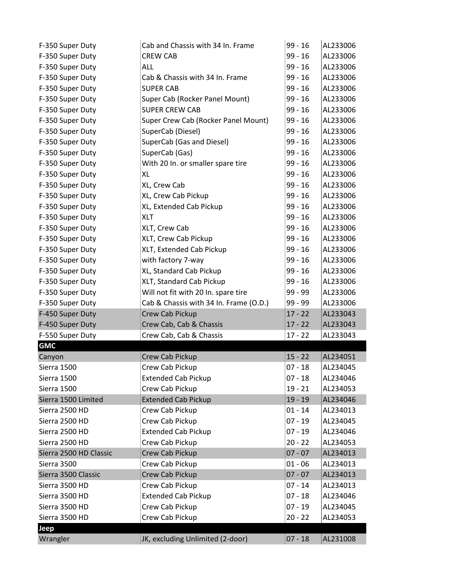| F-350 Super Duty       | Cab and Chassis with 34 In. Frame      | $99 - 16$ | AL233006 |
|------------------------|----------------------------------------|-----------|----------|
| F-350 Super Duty       | <b>CREW CAB</b>                        | $99 - 16$ | AL233006 |
| F-350 Super Duty       | <b>ALL</b>                             | $99 - 16$ | AL233006 |
| F-350 Super Duty       | Cab & Chassis with 34 In. Frame        | $99 - 16$ | AL233006 |
| F-350 Super Duty       | <b>SUPER CAB</b>                       | $99 - 16$ | AL233006 |
| F-350 Super Duty       | Super Cab (Rocker Panel Mount)         | $99 - 16$ | AL233006 |
| F-350 Super Duty       | <b>SUPER CREW CAB</b>                  | $99 - 16$ | AL233006 |
| F-350 Super Duty       | Super Crew Cab (Rocker Panel Mount)    | $99 - 16$ | AL233006 |
| F-350 Super Duty       | SuperCab (Diesel)                      | $99 - 16$ | AL233006 |
| F-350 Super Duty       | SuperCab (Gas and Diesel)              | $99 - 16$ | AL233006 |
| F-350 Super Duty       | SuperCab (Gas)                         | $99 - 16$ | AL233006 |
| F-350 Super Duty       | With 20 In. or smaller spare tire      | $99 - 16$ | AL233006 |
| F-350 Super Duty       | XL                                     | $99 - 16$ | AL233006 |
| F-350 Super Duty       | XL, Crew Cab                           | $99 - 16$ | AL233006 |
| F-350 Super Duty       | XL, Crew Cab Pickup                    | $99 - 16$ | AL233006 |
| F-350 Super Duty       | XL, Extended Cab Pickup                | $99 - 16$ | AL233006 |
| F-350 Super Duty       | XLT                                    | 99 - 16   | AL233006 |
| F-350 Super Duty       | XLT, Crew Cab                          | $99 - 16$ | AL233006 |
| F-350 Super Duty       | XLT, Crew Cab Pickup                   | $99 - 16$ | AL233006 |
| F-350 Super Duty       | XLT, Extended Cab Pickup               | $99 - 16$ | AL233006 |
| F-350 Super Duty       | with factory 7-way                     | $99 - 16$ | AL233006 |
| F-350 Super Duty       | XL, Standard Cab Pickup                | $99 - 16$ | AL233006 |
| F-350 Super Duty       | XLT, Standard Cab Pickup               | $99 - 16$ | AL233006 |
|                        |                                        | 99 - 99   |          |
| F-350 Super Duty       | Will not fit with 20 In. spare tire    |           | AL233006 |
| F-350 Super Duty       | Cab & Chassis with 34 In. Frame (O.D.) | 99 - 99   | AL233006 |
| F-450 Super Duty       | Crew Cab Pickup                        | $17 - 22$ | AL233043 |
| F-450 Super Duty       | Crew Cab, Cab & Chassis                | $17 - 22$ | AL233043 |
| F-550 Super Duty       | Crew Cab, Cab & Chassis                | $17 - 22$ | AL233043 |
| <b>GMC</b>             |                                        |           |          |
| Canyon                 | Crew Cab Pickup                        | $15 - 22$ | AL234051 |
| Sierra 1500            | Crew Cab Pickup                        | $07 - 18$ | AL234045 |
| Sierra 1500            | <b>Extended Cab Pickup</b>             | $07 - 18$ | AL234046 |
| Sierra 1500            | Crew Cab Pickup                        | $19 - 21$ | AL234053 |
| Sierra 1500 Limited    | <b>Extended Cab Pickup</b>             | $19 - 19$ | AL234046 |
| Sierra 2500 HD         | Crew Cab Pickup                        | $01 - 14$ | AL234013 |
| Sierra 2500 HD         | Crew Cab Pickup                        | $07 - 19$ | AL234045 |
| Sierra 2500 HD         | <b>Extended Cab Pickup</b>             | $07 - 19$ | AL234046 |
| Sierra 2500 HD         | Crew Cab Pickup                        | $20 - 22$ | AL234053 |
| Sierra 2500 HD Classic | Crew Cab Pickup                        | $07 - 07$ | AL234013 |
| Sierra 3500            | Crew Cab Pickup                        | $01 - 06$ | AL234013 |
| Sierra 3500 Classic    | Crew Cab Pickup                        | $07 - 07$ | AL234013 |
| Sierra 3500 HD         | Crew Cab Pickup                        | $07 - 14$ | AL234013 |
| Sierra 3500 HD         | <b>Extended Cab Pickup</b>             | $07 - 18$ | AL234046 |
| Sierra 3500 HD         | Crew Cab Pickup                        | $07 - 19$ | AL234045 |
| Sierra 3500 HD         | Crew Cab Pickup                        | $20 - 22$ | AL234053 |
| Jeep                   |                                        |           |          |
| Wrangler               | JK, excluding Unlimited (2-door)       | $07 - 18$ | AL231008 |